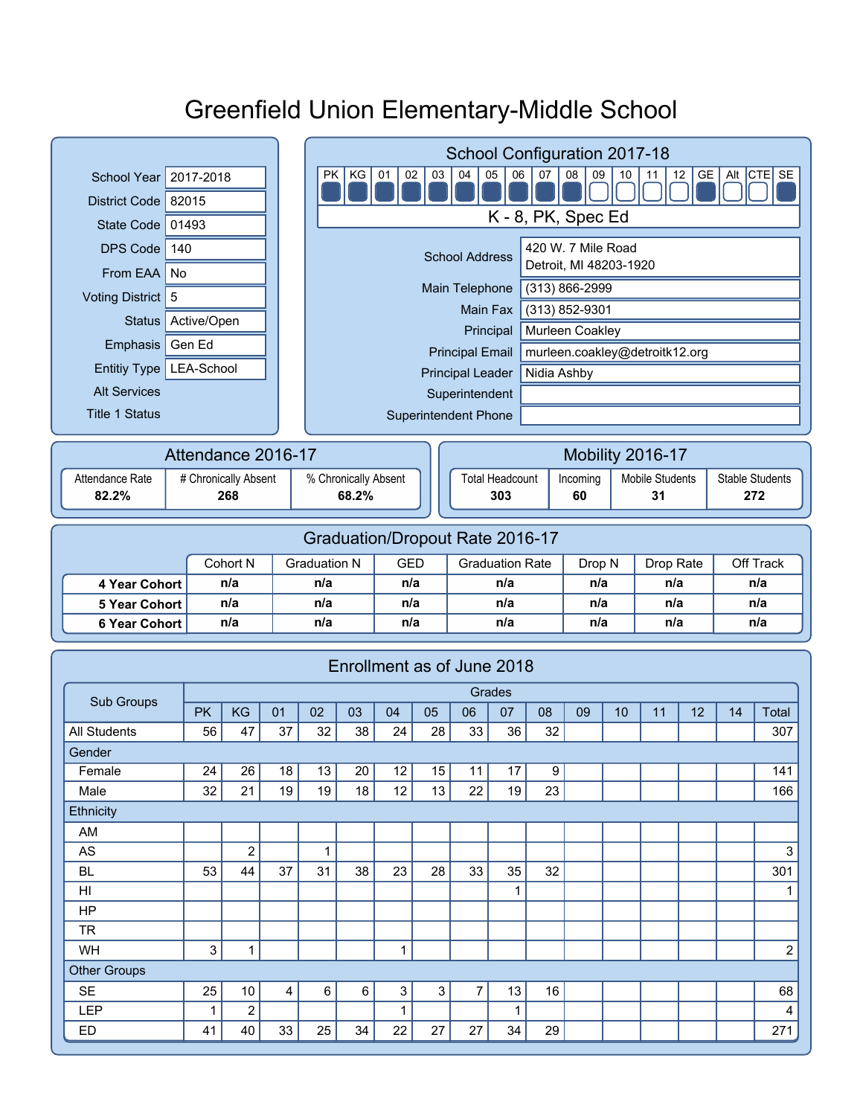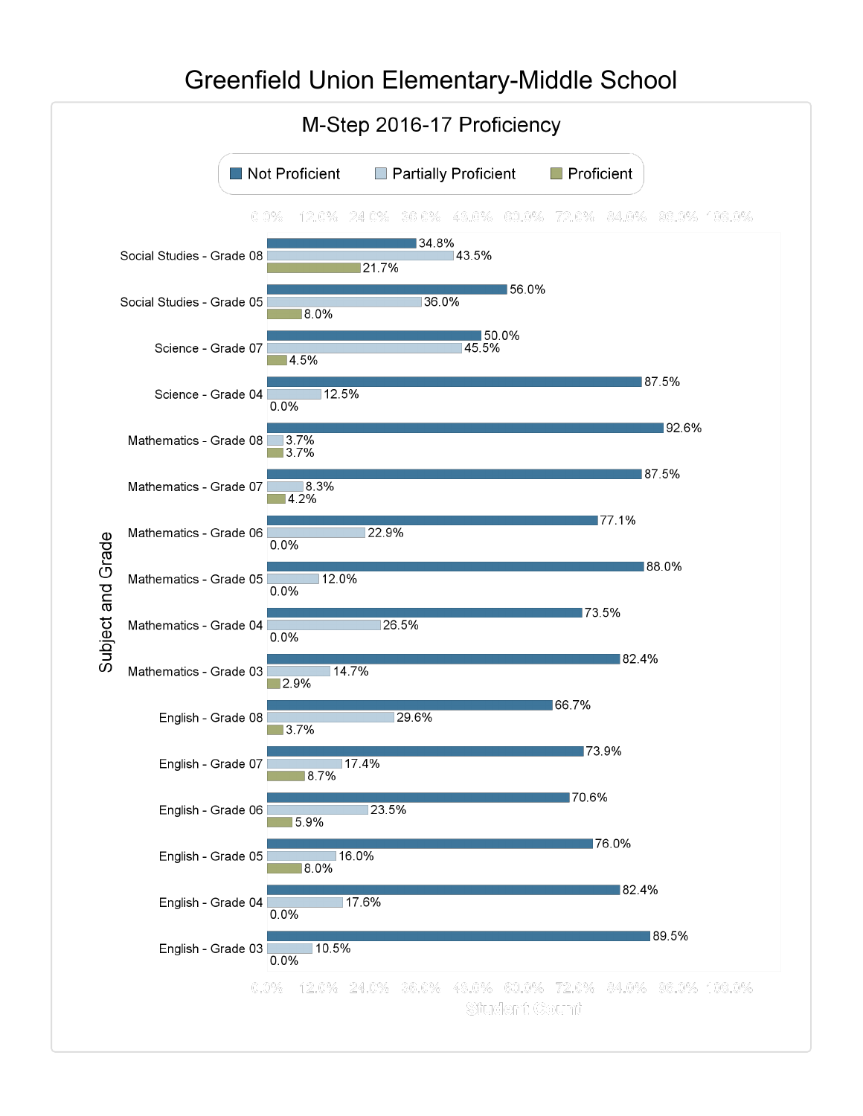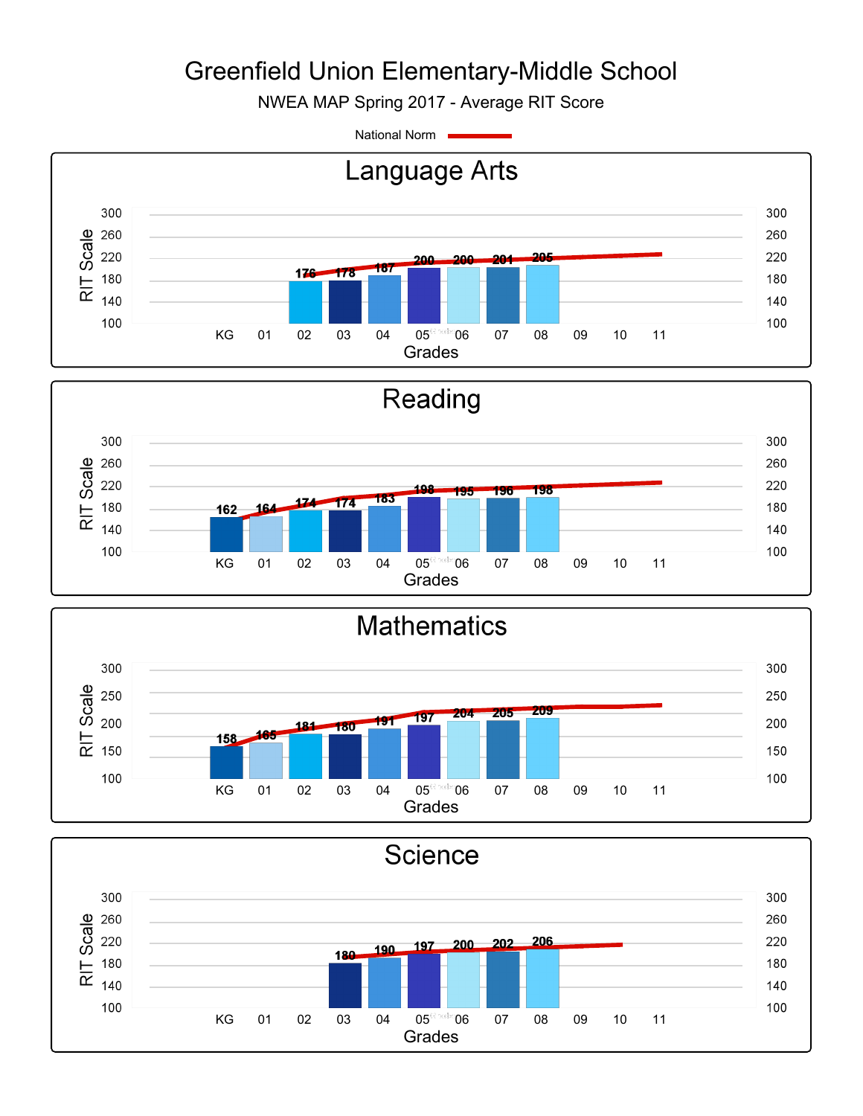NWEA MAP Spring 2017 - Average RIT Score

National Norm